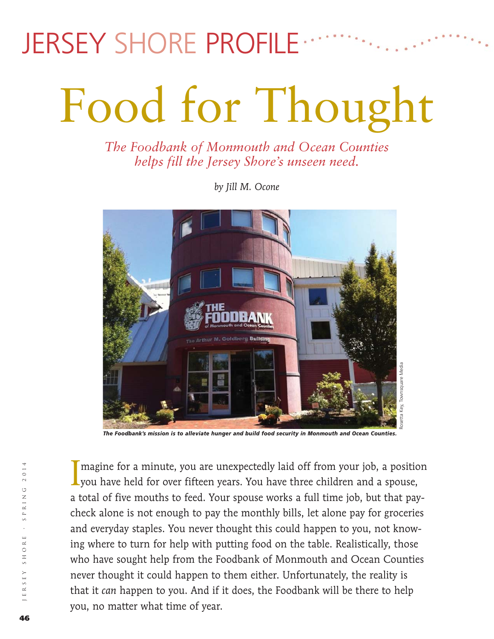## JERSEY SHORE PROFILE

# Food for Thought

*The Foodbank of Monmouth and Ocean Counties helps fill the Jersey Shore's unseen need.*

*by Jill M. Ocone*



*The Foodbank's mission is to alleviate hunger and build food security in Monmouth and Ocean Counties.* 

I magine for a minute, you are unexpectedly laid off from your job, a positio you have held for over fifteen years. You have three children and a spouse, I magine for a minute, you are unexpectedly laid off from your job, a position a total of five mouths to feed. Your spouse works a full time job, but that paycheck alone is not enough to pay the monthly bills, let alone pay for groceries and everyday staples. You never thought this could happen to you, not knowing where to turn for help with putting food on the table. Realistically, those who have sought help from the Foodbank of Monmouth and Ocean Counties never thought it could happen to them either. Unfortunately, the reality is that it *can* happen to you. And if it does, the Foodbank will be there to help you, no matter what time of year.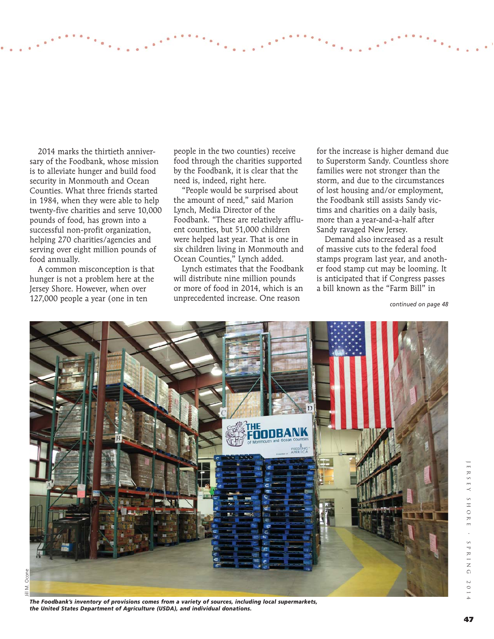2014 marks the thirtieth anniversary of the Foodbank, whose mission is to alleviate hunger and build food security in Monmouth and Ocean Counties. What three friends started in 1984, when they were able to help twenty-five charities and serve 10,000 pounds of food, has grown into a successful non-profit organization, helping 270 charities/agencies and serving over eight million pounds of food annually.

 A common misconception is that hunger is not a problem here at the Jersey Shore. However, when over 127,000 people a year (one in ten *continued on page 48*

people in the two counties) receive food through the charities supported by the Foodbank, it is clear that the need is, indeed, right here.

 "People would be surprised about the amount of need," said Marion Lynch, Media Director of the Foodbank. "These are relatively affluent counties, but 51,000 children were helped last year. That is one in six children living in Monmouth and Ocean Counties," Lynch added.

 Lynch estimates that the Foodbank will distribute nine million pounds or more of food in 2014, which is an unprecedented increase. One reason

for the increase is higher demand due to Superstorm Sandy. Countless shore families were not stronger than the storm, and due to the circumstances of lost housing and/or employment, the Foodbank still assists Sandy victims and charities on a daily basis, more than a year-and-a-half after Sandy ravaged New Jersey.

 Demand also increased as a result of massive cuts to the federal food stamps program last year, and another food stamp cut may be looming. It is anticipated that if Congress passes a bill known as the "Farm Bill" in



*The Foodbank's inventory of provisions comes from a variety of sources, including local supermarkets, the United States Department of Agriculture (USDA), and individual donations.*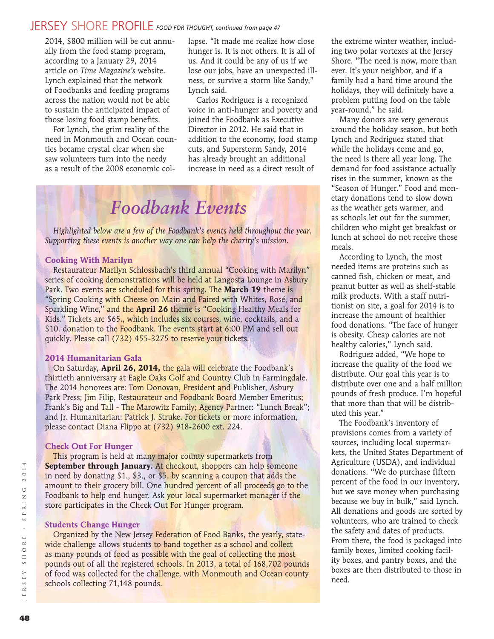#### JERSEY SHORE PROFILE *FOOD FOR THOUGHT, continued from page 47*

2014, \$800 million will be cut annually from the food stamp program, according to a January 29, 2014 article on *Time Magazine's* website. Lynch explained that the network of Foodbanks and feeding programs across the nation would not be able to sustain the anticipated impact of those losing food stamp benefits.

 For Lynch, the grim reality of the need in Monmouth and Ocean counties became crystal clear when she saw volunteers turn into the needy as a result of the 2008 economic collapse. "It made me realize how close hunger is. It is not others. It is all of us. And it could be any of us if we lose our jobs, have an unexpected illness, or survive a storm like Sandy," Lynch said.

 Carlos Rodriguez is a recognized voice in anti-hunger and poverty and joined the Foodbank as Executive Director in 2012. He said that in addition to the economy, food stamp cuts, and Superstorm Sandy, 2014 has already brought an additional increase in need as a direct result of

## *Foodbank Events*

 *Highlighted below are a few of the Foodbank's events held throughout the year. Supporting these events is another way one can help the charity's mission.*

#### **Cooking With Marilyn**

Restaurateur Marilyn Schlossbach's third annual "Cooking with Marilyn" series of cooking demonstrations will be held at Langosta Lounge in Asbury Park. Two events are scheduled for this spring. The **March 19** theme is "Spring Cooking with Cheese on Main and Paired with Whites, Rosé, and Sparkling Wine," and the **April 26** theme is "Cooking Healthy Meals for Kids." Tickets are \$65., which includes six courses, wine, cocktails, and a \$10. donation to the Foodbank. The events start at 6:00 PM and sell out quickly. Please call (732) 455-3275 to reserve your tickets.

#### **2014 Humanitarian Gala**

 On Saturday, **April 26, 2014,** the gala will celebrate the Foodbank's thirtieth anniversary at Eagle Oaks Golf and Country Club in Farmingdale. The 2014 honorees are: Tom Donovan, President and Publisher, Asbury Park Press; Jim Filip, Restaurateur and Foodbank Board Member Emeritus; Frank's Big and Tall - The Marowitz Family; Agency Partner: "Lunch Break"; and Jr. Humanitarian: Patrick J. Struke. For tickets or more information, please contact Diana Flippo at (732) 918-2600 ext. 224.

#### **Check Out For Hunger**

This program is held at many major county supermarkets from **September through January.** At checkout, shoppers can help someone in need by donating \$1., \$3., or \$5. by scanning a coupon that adds the amount to their grocery bill. One hundred percent of all proceeds go to the Foodbank to help end hunger. Ask your local supermarket manager if the store participates in the Check Out For Hunger program.

#### **Students Change Hunger**

 Organized by the New Jersey Federation of Food Banks, the yearly, statewide challenge allows students to band together as a school and collect as many pounds of food as possible with the goal of collecting the most pounds out of all the registered schools. In 2013, a total of 168,702 pounds of food was collected for the challenge, with Monmouth and Ocean county schools collecting 71,148 pounds.

the extreme winter weather, including two polar vortexes at the Jersey Shore. "The need is now, more than ever. It's your neighbor, and if a family had a hard time around the holidays, they will definitely have a problem putting food on the table year-round," he said.

 Many donors are very generous around the holiday season, but both Lynch and Rodriguez stated that while the holidays come and go, the need is there all year long. The demand for food assistance actually rises in the summer, known as the "Season of Hunger." Food and monetary donations tend to slow down as the weather gets warmer, and as schools let out for the summer, children who might get breakfast or lunch at school do not receive those meals.

 According to Lynch, the most needed items are proteins such as canned fish, chicken or meat, and peanut butter as well as shelf-stable milk products. With a staff nutritionist on site, a goal for 2014 is to increase the amount of healthier food donations. "The face of hunger is obesity. Cheap calories are not healthy calories," Lynch said.

 Rodriguez added, "We hope to increase the quality of the food we distribute. Our goal this year is to distribute over one and a half million pounds of fresh produce. I'm hopeful that more than that will be distributed this year."

 The Foodbank's inventory of provisions comes from a variety of sources, including local supermarkets, the United States Department of Agriculture (USDA), and individual donations. "We do purchase fifteen percent of the food in our inventory, but we save money when purchasing because we buy in bulk," said Lynch. All donations and goods are sorted by volunteers, who are trained to check the safety and dates of products. From there, the food is packaged into family boxes, limited cooking facility boxes, and pantry boxes, and the boxes are then distributed to those in need.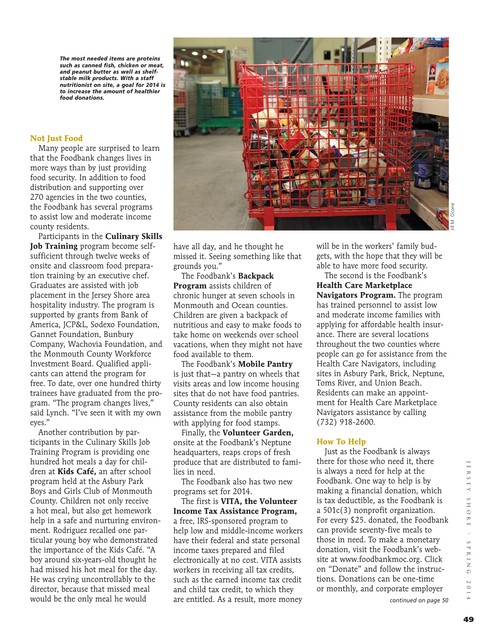*The most needed items are proteins such as canned fish, chicken or meat, and peanut butter as well as shelfstable milk products. With a staff nutritionist on site, a goal for 2014 is to increase the amount of healthier food donations.*

#### **Not Just Food**

 Many people are surprised to learn that the Foodbank changes lives in more ways than by just providing food security. In addition to food distribution and supporting over 270 agencies in the two counties, the Foodbank has several programs to assist low and moderate income county residents.

 Participants in the **Culinary Skills Job Training** program become selfsufficient through twelve weeks of onsite and classroom food preparation training by an executive chef. Graduates are assisted with job placement in the Jersey Shore area hospitality industry. The program is supported by grants from Bank of America, JCP&L, Sodexo Foundation, Gannet Foundation, Bunbury Company, Wachovia Foundation, and the Monmouth County Workforce Investment Board. Qualified applicants can attend the program for free. To date, over one hundred thirty trainees have graduated from the program. "The program changes lives," said Lynch. "I've seen it with my own eyes."

 Another contribution by participants in the Culinary Skills Job Training Program is providing one hundred hot meals a day for children at **Kids Café,** an after school program held at the Asbury Park Boys and Girls Club of Monmouth County. Children not only receive a hot meal, but also get homework help in a safe and nurturing environment. Rodriguez recalled one particular young boy who demonstrated the importance of the Kids Café. "A boy around six-years-old thought he had missed his hot meal for the day. He was crying uncontrollably to the director, because that missed meal would be the only meal he would



Jill M. Ocone

have all day, and he thought he missed it. Seeing something like that grounds you."

 The Foodbank's **Backpack Program** assists children of chronic hunger at seven schools in Monmouth and Ocean counties. Children are given a backpack of nutritious and easy to make foods to take home on weekends over school vacations, when they might not have food available to them.

 The Foodbank's **Mobile Pantry** is just that—a pantry on wheels that visits areas and low income housing sites that do not have food pantries. County residents can also obtain assistance from the mobile pantry with applying for food stamps.

 Finally, the **Volunteer Garden,** onsite at the Foodbank's Neptune headquarters, reaps crops of fresh produce that are distributed to families in need.

 The Foodbank also has two new programs set for 2014.

 The first is **VITA, the Volunteer Income Tax Assistance Program,** a free, IRS-sponsored program to help low and middle-income workers have their federal and state personal income taxes prepared and filed electronically at no cost. VITA assists workers in receiving all tax credits, such as the earned income tax credit and child tax credit, to which they are entitled. As a result, more money

will be in the workers' family budgets, with the hope that they will be able to have more food security.

 The second is the Foodbank's **Health Care Marketplace Navigators Program.** The program has trained personnel to assist low and moderate income families with applying for affordable health insurance. There are several locations throughout the two counties where people can go for assistance from the Health Care Navigators, including sites in Asbury Park, Brick, Neptune, Toms River, and Union Beach. Residents can make an appointment for Health Care Marketplace Navigators assistance by calling (732) 918-2600.

#### **How To Help**

 Just as the Foodbank is always there for those who need it, there is always a need for help at the Foodbank. One way to help is by making a financial donation, which is tax deductible, as the Foodbank is a 501c(3) nonprofit organization. For every \$25. donated, the Foodbank can provide seventy-five meals to those in need. To make a monetary donation, visit the Foodbank's website at www.foodbankmoc.org. Click on "Donate" and follow the instructions. Donations can be one-time or monthly, and corporate employer

 $\frac{1}{n}$  $R$  S  $E$   $\gamma$